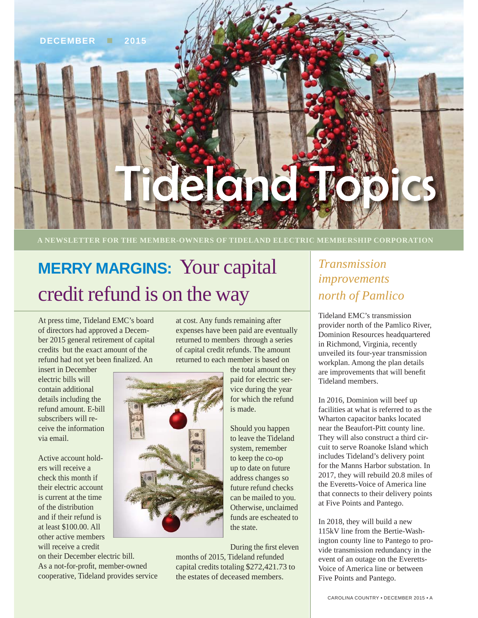#### **DECEMBER 2015**

# delandry

**A NEWSLETTER FOR THE MEMBER-OWNERS OF TIDELAND ELECTRIC MEMBERSHIP CORPORATION**

# **MERRY MARGINS:** Your capital credit refund is on the way

At press time, Tideland EMC's board of directors had approved a December 2015 general retirement of capital credits but the exact amount of the refund had not yet been finalized. An

insert in December electric bills will contain additional details including the refund amount. E-bill subscribers will receive the information via email.

Active account holders will receive a check this month if their electric account is current at the time of the distribution and if their refund is at least \$100.00. All other active members will receive a credit

on their December electric bill. As a not-for-profit, member-owned cooperative, Tideland provides service

at cost. Any funds remaining after expenses have been paid are eventually returned to members through a series of capital credit refunds. The amount returned to each member is based on

the total amount they paid for electric service during the year for which the refund is made.

Should you happen to leave the Tideland system, remember to keep the co-op up to date on future address changes so future refund checks can be mailed to you. Otherwise, unclaimed funds are escheated to the state.

During the first eleven months of 2015, Tideland refunded capital credits totaling \$272,421.73 to the estates of deceased members.

### *Transmission improvements north of Pamlico*

Tideland EMC's transmission provider north of the Pamlico River, Dominion Resources headquartered in Richmond, Virginia, recently unveiled its four-year transmission workplan. Among the plan details are improvements that will benefit Tideland members.

In 2016, Dominion will beef up facilities at what is referred to as the Wharton capacitor banks located near the Beaufort-Pitt county line. They will also construct a third circuit to serve Roanoke Island which includes Tideland's delivery point for the Manns Harbor substation. In 2017, they will rebuild 20.8 miles of the Everetts-Voice of America line that connects to their delivery points at Five Points and Pantego.

In 2018, they will build a new 115kV line from the Bertie-Washington county line to Pantego to provide transmission redundancy in the event of an outage on the Everetts-Voice of America line or between Five Points and Pantego.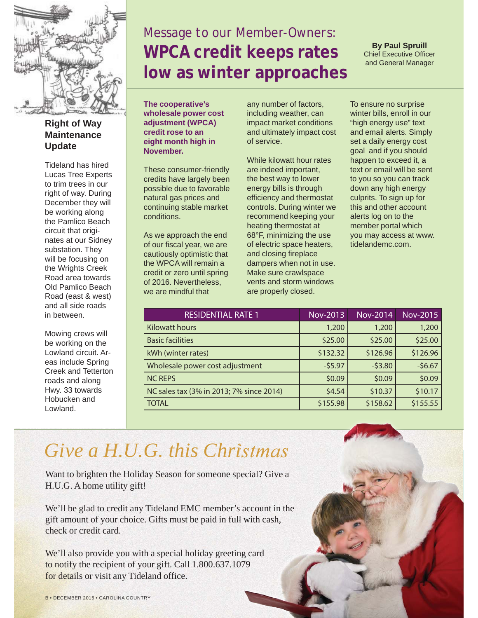

**Right of Way Maintenance Update**

Tideland has hired Lucas Tree Experts to trim trees in our right of way. During December they will be working along the Pamlico Beach circuit that originates at our Sidney substation. They will be focusing on the Wrights Creek Road area towards Old Pamlico Beach Road (east & west) and all side roads in between.

Mowing crews will be working on the Lowland circuit. Areas include Spring Creek and Tetterton roads and along Hwy. 33 towards Hobucken and Lowland.

## *Message to our Member-Owners:* **WPCA credit keeps rates low as winter approaches**

**By Paul Spruill** Chief Executive Officer and General Manager

**The cooperative's wholesale power cost adjustment (WPCA) credit rose to an eight month high in November.** 

These consumer-friendly credits have largely been possible due to favorable natural gas prices and continuing stable market conditions.

As we approach the end of our fiscal year, we are cautiously optimistic that the WPCA will remain a credit or zero until spring of 2016. Nevertheless, we are mindful that

any number of factors, including weather, can impact market conditions and ultimately impact cost of service.

While kilowatt hour rates are indeed important, the best way to lower energy bills is through efficiency and thermostat controls. During winter we recommend keeping your heating thermostat at 68°F, minimizing the use of electric space heaters, and closing fireplace dampers when not in use. Make sure crawlspace vents and storm windows are properly closed.

To ensure no surprise winter bills, enroll in our "high energy use" text and email alerts. Simply set a daily energy cost goal and if you should happen to exceed it, a text or email will be sent to you so you can track down any high energy culprits. To sign up for this and other account alerts log on to the member portal which you may access at www. tidelandemc.com.

| <b>RESIDENTIAL RATE 1</b>                | <b>Nov-2013</b> | Nov-2014 | Nov-2015 |
|------------------------------------------|-----------------|----------|----------|
| <b>Kilowatt hours</b>                    | 1,200           | 1,200    | 1,200    |
| <b>Basic facilities</b>                  | \$25.00         | \$25.00  | \$25.00  |
| kWh (winter rates)                       | \$132.32        | \$126.96 | \$126.96 |
| Wholesale power cost adjustment          | $-55.97$        | $-53.80$ | $-56.67$ |
| <b>NC REPS</b>                           | \$0.09          | \$0.09   | \$0.09   |
| NC sales tax (3% in 2013; 7% since 2014) | \$4.54          | \$10.37  | \$10.17  |
| <b>TOTAL</b>                             | \$155.98        | \$158.62 | \$155.55 |

## *Give a H.U.G. this Christmas*

Want to brighten the Holiday Season for someone special? Give a H.U.G. A home utility gift! Want to brighten the Holiday Season for someone special? Give a<br>H.U.G. A home utility gift!<br>We'll be glad to credit any Tideland EMC member's account in the

gift amount of your choice. Gifts must be paid in full with cash, check or credit card.

We'll also provide you with a special holiday greeting card to notify the recipient of your gift. Call 1.800.637.1079 for details or visit any Tideland office.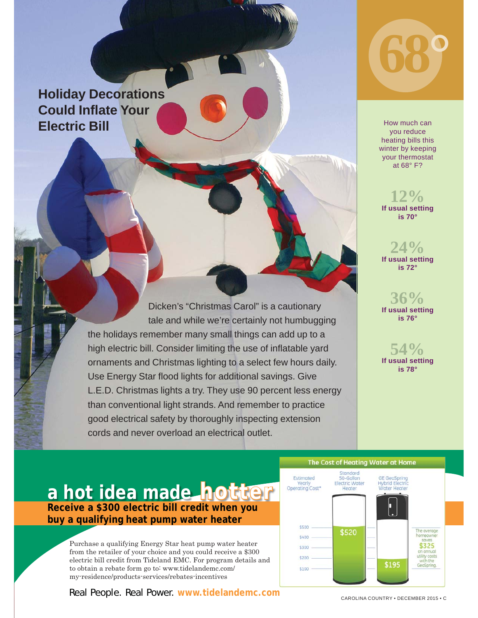## **Holiday Decorations Could Inflate Your Electric Bill**

Dicken's "Christmas Carol" is a cautionary tale and while we're certainly not humbugging the holidays remember many small things can add up to a high electric bill. Consider limiting the use of inflatable yard ornaments and Christmas lighting to a select few hours daily. Use Energy Star flood lights for additional savings. Give L.E.D. Christmas lights a try. They use 90 percent less energy than conventional light strands. And remember to practice good electrical safety by thoroughly inspecting extension cords and never overload an electrical outlet.



How much can you reduce heating bills this winter by keeping your thermostat at 68° F?

**If usual setting 12% is 70°**

**If usual setting 24% is 72°**

**If usual setting 36% is 76°** 

**If usual setting 54% is 78°** 

## And County family county a hot idea made hotter buy a qualifying heat pump water heater **winner**

Purchase a qualifying Energy Star heat pump water heater electric bill credit from Tideland EMC. For program details and to obtain a rebate form go to: www.tidelandemc.com/ my-residence/products-services/rebates-incentives from the retailer of your choice and you could receive a \$300

Real People. Real Power. www.tidelandemc.com



CAROLINA COUNTRY \* DECEMBER 20